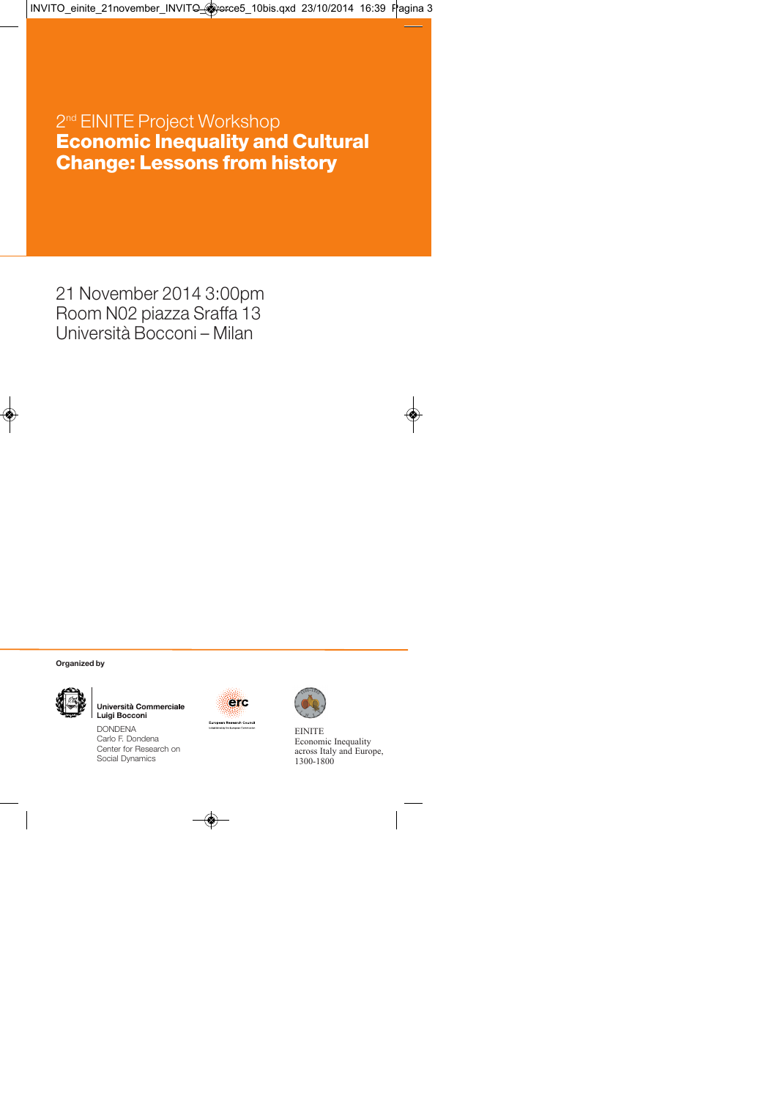## 2<sup>nd</sup> EINITE Project Workshop **Economic Inequality and Cultural Change: Lessons from history**

21 November 2014 3:00pm Room N02 piazza Sraffa 13 Università Bocconi – Milan

**Organized by**



Jniversità Commerciale Luigi Bocconi

DONDENA Carlo F. Dondena Center for Research on Social Dynamics



**Research Council**<br>who European Commission



**EINITE** Economic Inequality across Italy and Europe, 1300-1800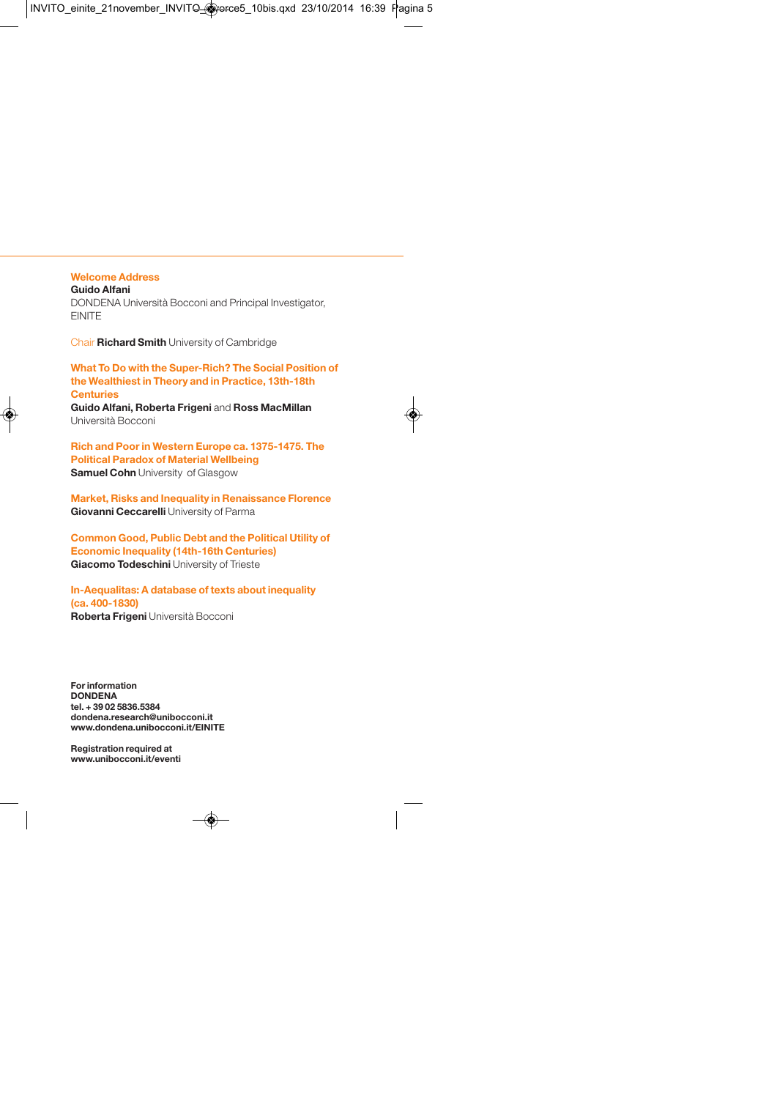**Welcome Address Guido Alfani**  DONDENA Università Bocconi and Principal Investigator, EINITE

Chair **Richard Smith** University of Cambridge

## **What To Do with the Super-Rich? The Social Position of the Wealthiest in Theory and in Practice, 13th-18th Centuries**

**Guido Alfani, Roberta Frigeni** and **Ross MacMillan** Università Bocconi

**Rich and Poor in Western Europe ca. 1375-1475. The Political Paradox of Material Wellbeing Samuel Cohn University of Glasgow** 

**Market, Risks and Inequality in Renaissance Florence Giovanni Ceccarelli** University of Parma

**Common Good, Public Debt and the Political Utility of Economic Inequality (14th-16th Centuries) Giacomo Todeschini** University of Trieste

**In-Aequalitas: A database of texts about inequality (ca. 400-1830) Roberta Frigeni** Università Bocconi

**For information DONDENA tel. + 39 02 5836.5384 dondena.research@unibocconi.it www.dondena.unibocconi.it/EINITE**

**Registration required at www.unibocconi.it/eventi**